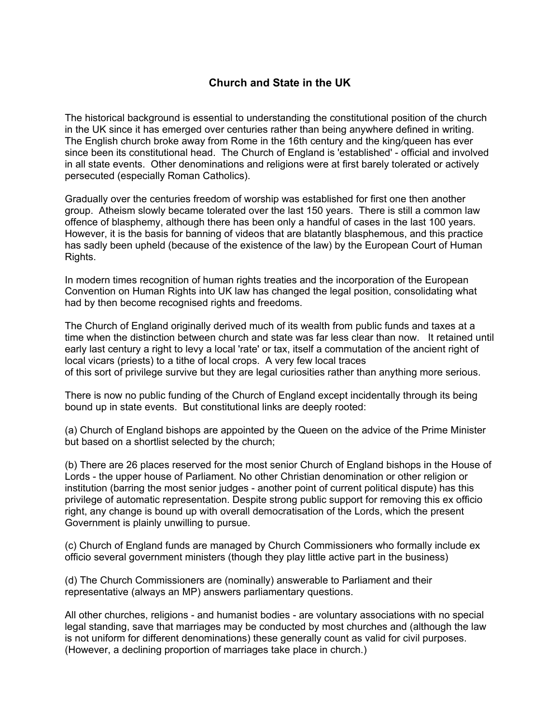## **Church and State in the UK**

The historical background is essential to understanding the constitutional position of the church in the UK since it has emerged over centuries rather than being anywhere defined in writing. The English church broke away from Rome in the 16th century and the king/queen has ever since been its constitutional head. The Church of England is 'established' - official and involved in all state events. Other denominations and religions were at first barely tolerated or actively persecuted (especially Roman Catholics).

Gradually over the centuries freedom of worship was established for first one then another group. Atheism slowly became tolerated over the last 150 years. There is still a common law offence of blasphemy, although there has been only a handful of cases in the last 100 years. However, it is the basis for banning of videos that are blatantly blasphemous, and this practice has sadly been upheld (because of the existence of the law) by the European Court of Human Rights.

In modern times recognition of human rights treaties and the incorporation of the European Convention on Human Rights into UK law has changed the legal position, consolidating what had by then become recognised rights and freedoms.

The Church of England originally derived much of its wealth from public funds and taxes at a time when the distinction between church and state was far less clear than now. It retained until early last century a right to levy a local 'rate' or tax, itself a commutation of the ancient right of local vicars (priests) to a tithe of local crops. A very few local traces of this sort of privilege survive but they are legal curiosities rather than anything more serious.

There is now no public funding of the Church of England except incidentally through its being bound up in state events. But constitutional links are deeply rooted:

(a) Church of England bishops are appointed by the Queen on the advice of the Prime Minister but based on a shortlist selected by the church;

(b) There are 26 places reserved for the most senior Church of England bishops in the House of Lords - the upper house of Parliament. No other Christian denomination or other religion or institution (barring the most senior judges - another point of current political dispute) has this privilege of automatic representation. Despite strong public support for removing this ex officio right, any change is bound up with overall democratisation of the Lords, which the present Government is plainly unwilling to pursue.

(c) Church of England funds are managed by Church Commissioners who formally include ex officio several government ministers (though they play little active part in the business)

(d) The Church Commissioners are (nominally) answerable to Parliament and their representative (always an MP) answers parliamentary questions.

All other churches, religions - and humanist bodies - are voluntary associations with no special legal standing, save that marriages may be conducted by most churches and (although the law is not uniform for different denominations) these generally count as valid for civil purposes. (However, a declining proportion of marriages take place in church.)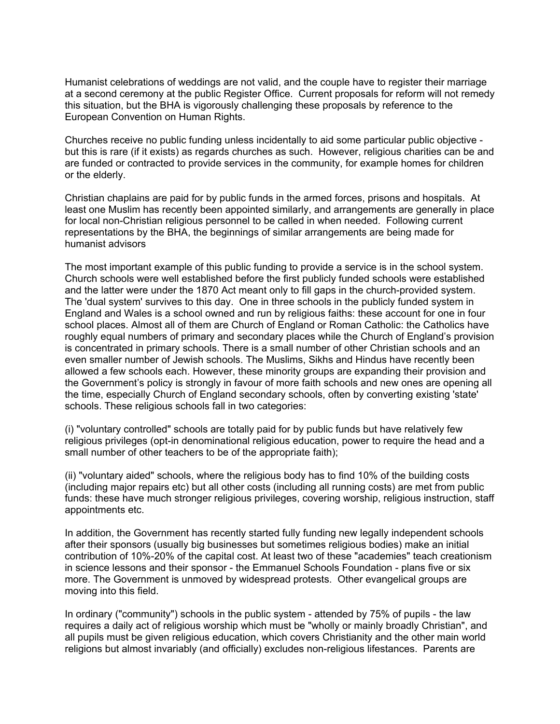Humanist celebrations of weddings are not valid, and the couple have to register their marriage at a second ceremony at the public Register Office. Current proposals for reform will not remedy this situation, but the BHA is vigorously challenging these proposals by reference to the European Convention on Human Rights.

Churches receive no public funding unless incidentally to aid some particular public objective but this is rare (if it exists) as regards churches as such. However, religious charities can be and are funded or contracted to provide services in the community, for example homes for children or the elderly.

Christian chaplains are paid for by public funds in the armed forces, prisons and hospitals. At least one Muslim has recently been appointed similarly, and arrangements are generally in place for local non-Christian religious personnel to be called in when needed. Following current representations by the BHA, the beginnings of similar arrangements are being made for humanist advisors

The most important example of this public funding to provide a service is in the school system. Church schools were well established before the first publicly funded schools were established and the latter were under the 1870 Act meant only to fill gaps in the church-provided system. The 'dual system' survives to this day. One in three schools in the publicly funded system in England and Wales is a school owned and run by religious faiths: these account for one in four school places. Almost all of them are Church of England or Roman Catholic: the Catholics have roughly equal numbers of primary and secondary places while the Church of England's provision is concentrated in primary schools. There is a small number of other Christian schools and an even smaller number of Jewish schools. The Muslims, Sikhs and Hindus have recently been allowed a few schools each. However, these minority groups are expanding their provision and the Government's policy is strongly in favour of more faith schools and new ones are opening all the time, especially Church of England secondary schools, often by converting existing 'state' schools. These religious schools fall in two categories:

(i) "voluntary controlled" schools are totally paid for by public funds but have relatively few religious privileges (opt-in denominational religious education, power to require the head and a small number of other teachers to be of the appropriate faith);

(ii) "voluntary aided" schools, where the religious body has to find 10% of the building costs (including major repairs etc) but all other costs (including all running costs) are met from public funds: these have much stronger religious privileges, covering worship, religious instruction, staff appointments etc.

In addition, the Government has recently started fully funding new legally independent schools after their sponsors (usually big businesses but sometimes religious bodies) make an initial contribution of 10%-20% of the capital cost. At least two of these "academies" teach creationism in science lessons and their sponsor - the Emmanuel Schools Foundation - plans five or six more. The Government is unmoved by widespread protests. Other evangelical groups are moving into this field.

In ordinary ("community") schools in the public system - attended by 75% of pupils - the law requires a daily act of religious worship which must be "wholly or mainly broadly Christian", and all pupils must be given religious education, which covers Christianity and the other main world religions but almost invariably (and officially) excludes non-religious lifestances. Parents are